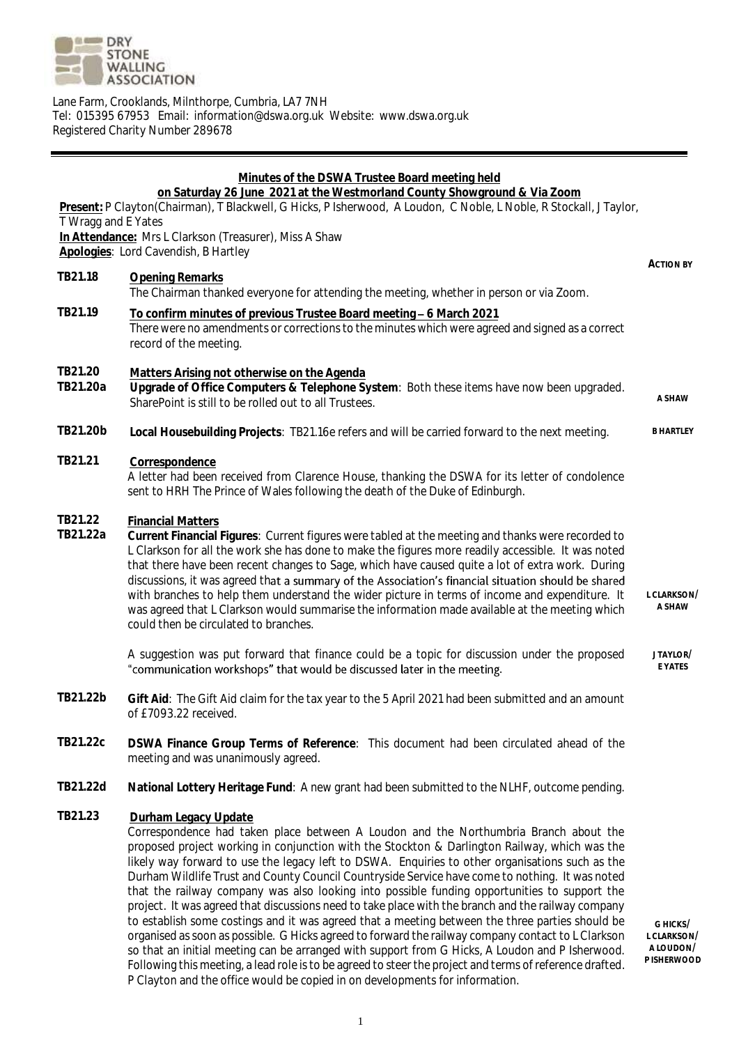

Lane Farm, Crooklands, Milnthorpe, Cumbria, LA7 7NH Tel: 015395 67953 Email: information@dswa.org.uk Website: www.dswa.org.uk Registered Charity Number 289678

| Minutes of the DSWA Trustee Board meeting held<br>on Saturday 26 June 2021 at the Westmorland County Showground & Via Zoom<br>Present: P Clayton(Chairman), T Blackwell, G Hicks, P Isherwood, A Loudon, C Noble, L Noble, R Stockall, J Taylor,<br>T Wragg and E Yates<br>In Attendance: Mrs L Clarkson (Treasurer), Miss A Shaw<br>Apologies: Lord Cavendish, B Hartley |                                                                                                                                                                                                                                                                                                                                                                                                                                                                                                                                                                                                                                                                                                                                                                                                                                    |                         |
|---------------------------------------------------------------------------------------------------------------------------------------------------------------------------------------------------------------------------------------------------------------------------------------------------------------------------------------------------------------------------|------------------------------------------------------------------------------------------------------------------------------------------------------------------------------------------------------------------------------------------------------------------------------------------------------------------------------------------------------------------------------------------------------------------------------------------------------------------------------------------------------------------------------------------------------------------------------------------------------------------------------------------------------------------------------------------------------------------------------------------------------------------------------------------------------------------------------------|-------------------------|
| TB21.18                                                                                                                                                                                                                                                                                                                                                                   | Opening Remarks<br>The Chairman thanked everyone for attending the meeting, whether in person or via Zoom.                                                                                                                                                                                                                                                                                                                                                                                                                                                                                                                                                                                                                                                                                                                         | ACTION BY               |
| TB21.19                                                                                                                                                                                                                                                                                                                                                                   | To confirm minutes of previous Trustee Board meeting - 6 March 2021<br>There were no amendments or corrections to the minutes which were agreed and signed as a correct<br>record of the meeting.                                                                                                                                                                                                                                                                                                                                                                                                                                                                                                                                                                                                                                  |                         |
| TB21.20<br>TB21.20a                                                                                                                                                                                                                                                                                                                                                       | Matters Arising not otherwise on the Agenda<br>Upgrade of Office Computers & Telephone System: Both these items have now been upgraded.<br>SharePoint is still to be rolled out to all Trustees.                                                                                                                                                                                                                                                                                                                                                                                                                                                                                                                                                                                                                                   | A SHAW                  |
| TB21.20b                                                                                                                                                                                                                                                                                                                                                                  | Local Housebuilding Projects: TB21.16e refers and will be carried forward to the next meeting.                                                                                                                                                                                                                                                                                                                                                                                                                                                                                                                                                                                                                                                                                                                                     | <b>B HARTLEY</b>        |
| TB21.21                                                                                                                                                                                                                                                                                                                                                                   | Correspondence<br>A letter had been received from Clarence House, thanking the DSWA for its letter of condolence<br>sent to HRH The Prince of Wales following the death of the Duke of Edinburgh.                                                                                                                                                                                                                                                                                                                                                                                                                                                                                                                                                                                                                                  |                         |
| TB21.22<br>TB21.22a                                                                                                                                                                                                                                                                                                                                                       | <b>Financial Matters</b><br>Current Financial Figures: Current figures were tabled at the meeting and thanks were recorded to<br>L Clarkson for all the work she has done to make the figures more readily accessible. It was noted<br>that there have been recent changes to Sage, which have caused quite a lot of extra work. During<br>discussions, it was agreed that a summary of the Association's financial situation should be shared<br>with branches to help them understand the wider picture in terms of income and expenditure. It<br>was agreed that L Clarkson would summarise the information made available at the meeting which<br>could then be circulated to branches.                                                                                                                                        | L CLARKSON/<br>A SHAW   |
|                                                                                                                                                                                                                                                                                                                                                                           | A suggestion was put forward that finance could be a topic for discussion under the proposed<br>"communication workshops" that would be discussed later in the meeting.                                                                                                                                                                                                                                                                                                                                                                                                                                                                                                                                                                                                                                                            | JTAYLOR/<br>E YATES     |
| TB21.22b                                                                                                                                                                                                                                                                                                                                                                  | Gift Aid: The Gift Aid claim for the tax year to the 5 April 2021 had been submitted and an amount<br>of £7093.22 received.                                                                                                                                                                                                                                                                                                                                                                                                                                                                                                                                                                                                                                                                                                        |                         |
| TB21.22c                                                                                                                                                                                                                                                                                                                                                                  | DSWA Finance Group Terms of Reference: This document had been circulated ahead of the<br>meeting and was unanimously agreed.                                                                                                                                                                                                                                                                                                                                                                                                                                                                                                                                                                                                                                                                                                       |                         |
| TB21.22d                                                                                                                                                                                                                                                                                                                                                                  | National Lottery Heritage Fund: A new grant had been submitted to the NLHF, outcome pending.                                                                                                                                                                                                                                                                                                                                                                                                                                                                                                                                                                                                                                                                                                                                       |                         |
| TB21.23                                                                                                                                                                                                                                                                                                                                                                   | Durham Legacy Update<br>Correspondence had taken place between A Loudon and the Northumbria Branch about the<br>proposed project working in conjunction with the Stockton & Darlington Railway, which was the<br>likely way forward to use the legacy left to DSWA. Enquiries to other organisations such as the<br>Durham Wildlife Trust and County Council Countryside Service have come to nothing. It was noted<br>that the railway company was also looking into possible funding opportunities to support the<br>project. It was agreed that discussions need to take place with the branch and the railway company<br>to establish some costings and it was agreed that a meeting between the three parties should be<br>organised as soon as possible. G Hicks agreed to forward the railway company contact to L Clarkson | G HICKS/<br>L CLARKSON/ |

**L CLARKSON/ A LOUDON/ P ISHERWOOD**

P Clayton and the office would be copied in on developments for information.

so that an initial meeting can be arranged with support from G Hicks, A Loudon and P Isherwood. Following this meeting, a lead role is to be agreed to steer the project and terms of reference drafted.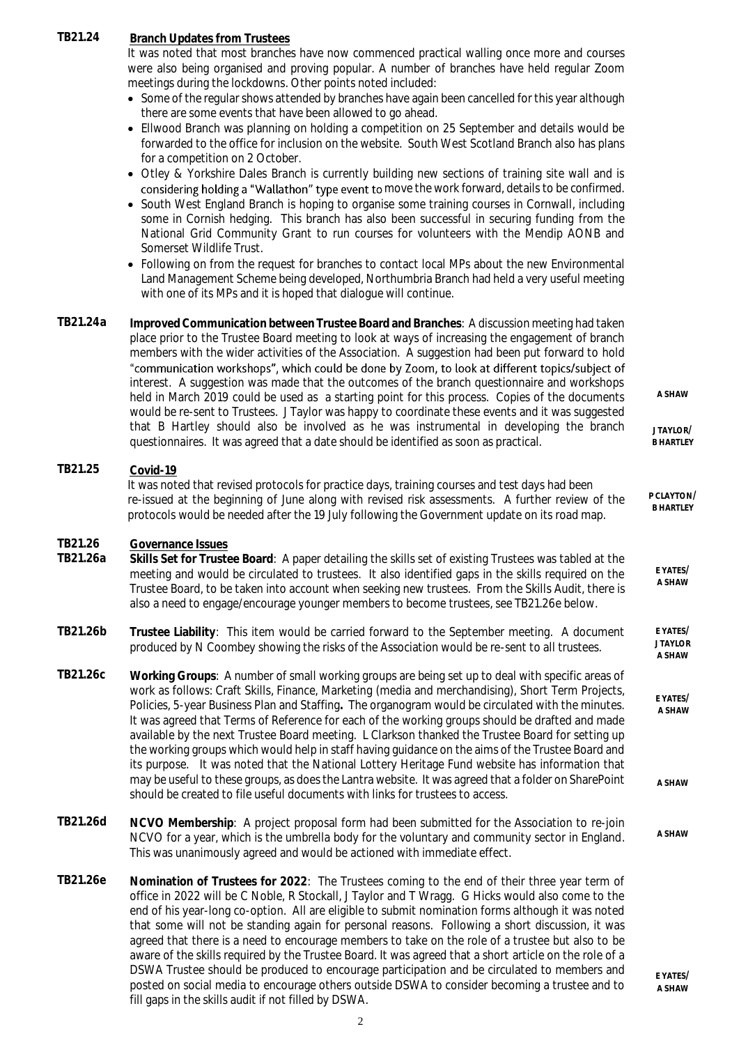## **TB21.24 Branch Updates from Trustees**

It was noted that most branches have now commenced practical walling once more and courses were also being organised and proving popular. A number of branches have held regular Zoom meetings during the lockdowns. Other points noted included:

- Some of the regular shows attended by branches have again been cancelled for this year although there are some events that have been allowed to go ahead.
- Ellwood Branch was planning on holding a competition on 25 September and details would be forwarded to the office for inclusion on the website. South West Scotland Branch also has plans for a competition on 2 October.
- Otley & Yorkshire Dales Branch is currently building new sections of training site wall and is considering holding a "Wallathon" type event to move the work forward, details to be confirmed.
- South West England Branch is hoping to organise some training courses in Cornwall, including some in Cornish hedging. This branch has also been successful in securing funding from the National Grid Community Grant to run courses for volunteers with the Mendip AONB and Somerset Wildlife Trust.
- Following on from the request for branches to contact local MPs about the new Environmental Land Management Scheme being developed, Northumbria Branch had held a very useful meeting with one of its MPs and it is hoped that dialogue will continue.
- **TB21.24a Improved Communication between Trustee Board and Branches**: A discussion meeting had taken place prior to the Trustee Board meeting to look at ways of increasing the engagement of branch members with the wider activities of the Association. A suggestion had been put forward to hold "communication workshops", which could be done by Zoom, to look at different topics/subject of interest. A suggestion was made that the outcomes of the branch questionnaire and workshops **A SHAW** held in March 2019 could be used as a starting point for this process. Copies of the documents would be re-sent to Trustees. J Taylor was happy to coordinate these events and it was suggested that B Hartley should also be involved as he was instrumental in developing the branch **J TAYLOR/** questionnaires. It was agreed that a date should be identified as soon as practical. **B HARTLEY**

## **TB21.25 Covid-19**

It was noted that revised protocols for practice days, training courses and test days had been re-issued at the beginning of June along with revised risk assessments. A further review of the protocols would be needed after the 19 July following the Government update on its road map.

## **TB21.26 Governance Issues**

**TB21.26a Skills Set for Trustee Board**: A paper detailing the skills set of existing Trustees was tabled at the meeting and would be circulated to trustees. It also identified gaps in the skills required on the Trustee Board, to be taken into account when seeking new trustees. From the Skills Audit, there is also a need to engage/encourage younger members to become trustees, see TB21.26e below.

- **TB21.26b Trustee Liability**: This item would be carried forward to the September meeting. A document produced by N Coombey showing the risks of the Association would be re-sent to all trustees. **E YATES/ J TAYLOR A SHAW**
- **TB21.26c Working Groups**: A number of small working groups are being set up to deal with specific areas of work as follows: Craft Skills, Finance, Marketing (media and merchandising), Short Term Projects, Policies, 5-year Business Plan and Staffing**.** The organogram would be circulated with the minutes. It was agreed that Terms of Reference for each of the working groups should be drafted and made available by the next Trustee Board meeting. L Clarkson thanked the Trustee Board for setting up the working groups which would help in staff having guidance on the aims of the Trustee Board and its purpose. It was noted that the National Lottery Heritage Fund website has information that may be useful to these groups, as does the Lantra website. It was agreed that a folder on SharePoint should be created to file useful documents with links for trustees to access. **E YATES/ A SHAW A SHAW**
- **TB21.26d NCVO Membership**: A project proposal form had been submitted for the Association to re-join NCVO for a year, which is the umbrella body for the voluntary and community sector in England. This was unanimously agreed and would be actioned with immediate effect. **A SHAW**
- **TB21.26e Nomination of Trustees for 2022**: The Trustees coming to the end of their three year term of office in 2022 will be C Noble, R Stockall, J Taylor and T Wragg. G Hicks would also come to the end of his year-long co-option. All are eligible to submit nomination forms although it was noted that some will not be standing again for personal reasons. Following a short discussion, it was agreed that there is a need to encourage members to take on the role of a trustee but also to be aware of the skills required by the Trustee Board. It was agreed that a short article on the role of a DSWA Trustee should be produced to encourage participation and be circulated to members and posted on social media to encourage others outside DSWA to consider becoming a trustee and to fill gaps in the skills audit if not filled by DSWA.

**P CLAYTON/ B HARTLEY**

> **E YATES/ A SHAW**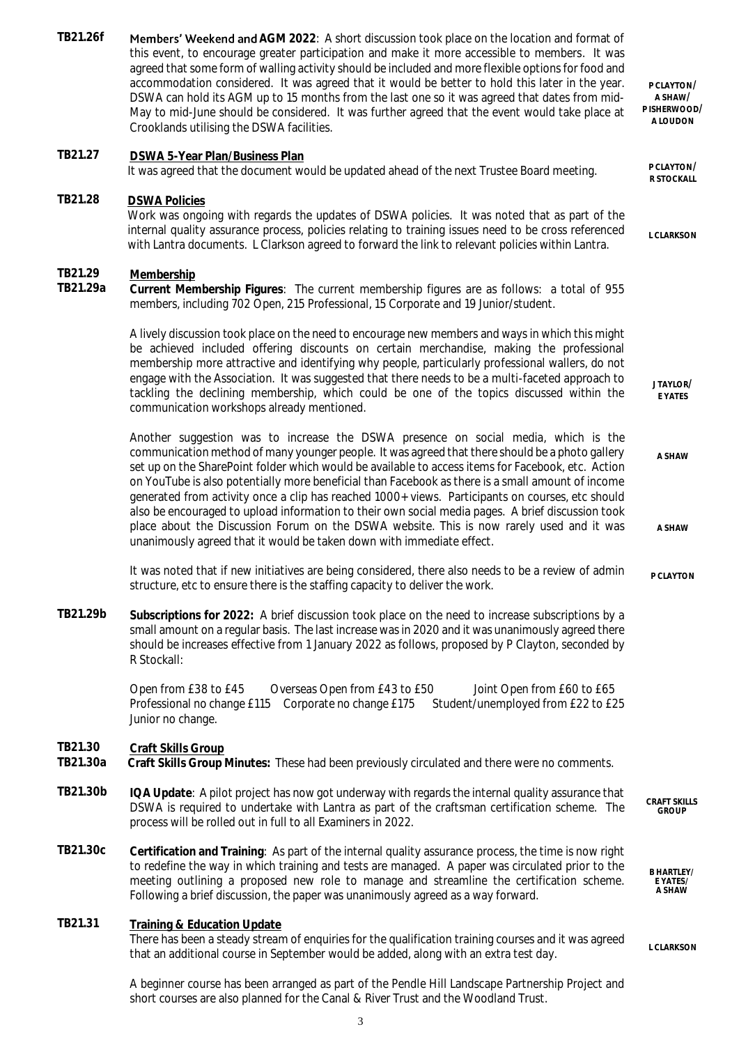TB21.26f Members' Weekend and AGM 2022: A short discussion took place on the location and format of this event, to encourage greater participation and make it more accessible to members. It was agreed that some form of walling activity should be included and more flexible options for food and accommodation considered. It was agreed that it would be better to hold this later in the year. DSWA can hold its AGM up to 15 months from the last one so it was agreed that dates from mid-May to mid-June should be considered. It was further agreed that the event would take place at Crooklands utilising the DSWA facilities. **P CLAYTON/ A SHAW/ P ISHERWOOD/ A LOUDON TB21.27 DSWA 5-Year Plan/Business Plan** It was agreed that the document would be updated ahead of the next Trustee Board meeting. **R STOCKALL TB21.28 DSWA Policies** Work was ongoing with regards the updates of DSWA policies. It was noted that as part of the internal quality assurance process, policies relating to training issues need to be cross referenced with Lantra documents. L Clarkson agreed to forward the link to relevant policies within Lantra. **L CLARKSON TB21.29 Membership TB21.29a Current Membership Figures**: The current membership figures are as follows: a total of 955 members, including 702 Open, 215 Professional, 15 Corporate and 19 Junior/student. A lively discussion took place on the need to encourage new members and ways in which this might be achieved included offering discounts on certain merchandise, making the professional membership more attractive and identifying why people, particularly professional wallers, do not engage with the Association. It was suggested that there needs to be a multi-faceted approach to tackling the declining membership, which could be one of the topics discussed within the communication workshops already mentioned. Another suggestion was to increase the DSWA presence on social media, which is the communication method of many younger people. It was agreed that there should be a photo gallery set up on the SharePoint folder which would be available to access items for Facebook, etc. Action on YouTube is also potentially more beneficial than Facebook as there is a small amount of income generated from activity once a clip has reached 1000+ views. Participants on courses, etc should also be encouraged to upload information to their own social media pages. A brief discussion took place about the Discussion Forum on the DSWA website. This is now rarely used and it was unanimously agreed that it would be taken down with immediate effect. It was noted that if new initiatives are being considered, there also needs to be a review of admin structure, etc to ensure there is the staffing capacity to deliver the work. **J TAYLOR/ E YATES A SHAW A SHAW P CLAYTON TB21.29b Subscriptions for 2022:** A brief discussion took place on the need to increase subscriptions by a small amount on a regular basis. The last increase was in 2020 and it was unanimously agreed there should be increases effective from 1 January 2022 as follows, proposed by P Clayton, seconded by R Stockall: Open from £38 to £45 Overseas Open from £43 to £50 Joint Open from £60 to £65 Professional no change £115 Corporate no change £175 Student/unemployed from £22 to £25 Junior no change. **TB21.30 Craft Skills Group TB21.30a Craft Skills Group Minutes:** These had been previously circulated and there were no comments. **TB21.30b IQA Update**: A pilot project has now got underway with regards the internal quality assurance that DSWA is required to undertake with Lantra as part of the craftsman certification scheme. The process will be rolled out in full to all Examiners in 2022. **CRAFT SKILLS GROUP TB21.30c Certification and Training**: As part of the internal quality assurance process, the time is now right to redefine the way in which training and tests are managed. A paper was circulated prior to the meeting outlining a proposed new role to manage and streamline the certification scheme. Following a brief discussion, the paper was unanimously agreed as a way forward. **B HARTLEY/ E YATES/ A SHAW TB21.31 Training & Education Update** There has been a steady stream of enquiries for the qualification training courses and it was agreed that an additional course in September would be added, along with an extra test day. A beginner course has been arranged as part of the Pendle Hill Landscape Partnership Project and **L CLARKSON**

short courses are also planned for the Canal & River Trust and the Woodland Trust.